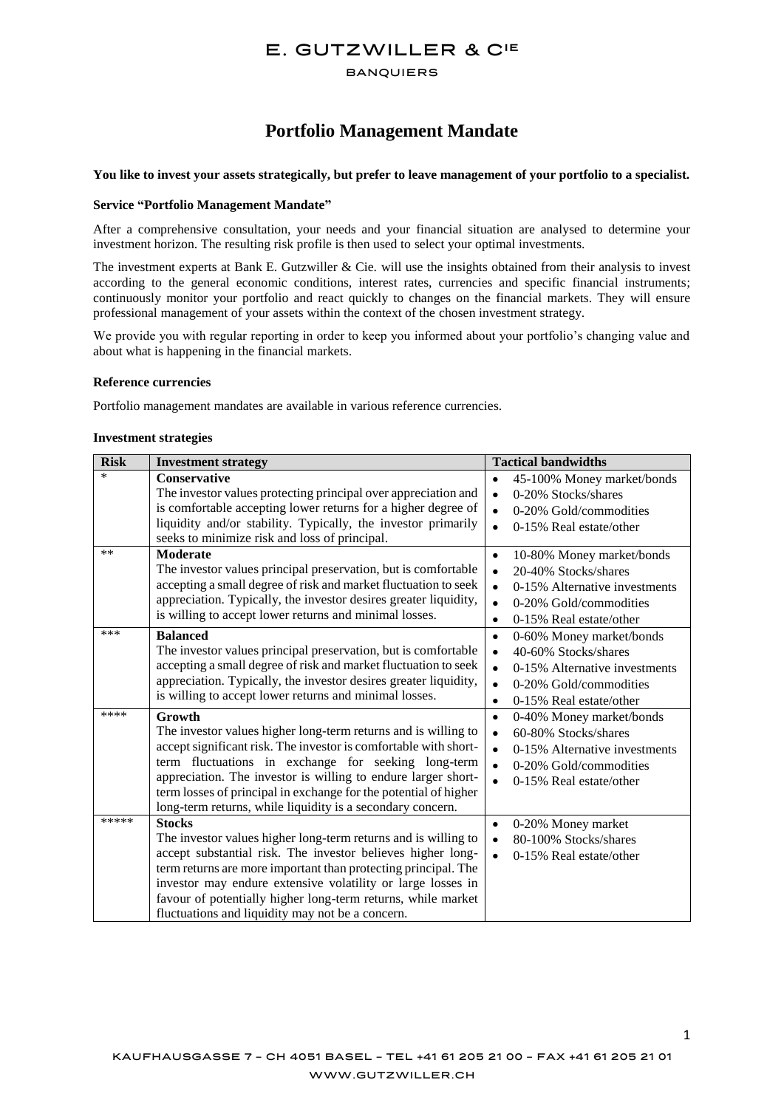# E. GUTZWILLER & CIE

#### **BANQUIERS**

# **Portfolio Management Mandate**

## **You like to invest your assets strategically, but prefer to leave management of your portfolio to a specialist.**

#### **Service "Portfolio Management Mandate"**

After a comprehensive consultation, your needs and your financial situation are analysed to determine your investment horizon. The resulting risk profile is then used to select your optimal investments.

The investment experts at Bank E. Gutzwiller  $&$  Cie. will use the insights obtained from their analysis to invest according to the general economic conditions, interest rates, currencies and specific financial instruments; continuously monitor your portfolio and react quickly to changes on the financial markets. They will ensure professional management of your assets within the context of the chosen investment strategy.

We provide you with regular reporting in order to keep you informed about your portfolio's changing value and about what is happening in the financial markets.

#### **Reference currencies**

Portfolio management mandates are available in various reference currencies.

#### **Investment strategies**

| <b>Risk</b> | <b>Investment strategy</b>                                                                                                                                                                                                                                                                                                                                                                             | <b>Tactical bandwidths</b>                                                                                                                                                                               |
|-------------|--------------------------------------------------------------------------------------------------------------------------------------------------------------------------------------------------------------------------------------------------------------------------------------------------------------------------------------------------------------------------------------------------------|----------------------------------------------------------------------------------------------------------------------------------------------------------------------------------------------------------|
| $\ast$      | <b>Conservative</b><br>The investor values protecting principal over appreciation and<br>is comfortable accepting lower returns for a higher degree of<br>liquidity and/or stability. Typically, the investor primarily<br>seeks to minimize risk and loss of principal.                                                                                                                               | 45-100% Money market/bonds<br>$\bullet$<br>0-20% Stocks/shares<br>$\bullet$<br>0-20% Gold/commodities<br>$\bullet$<br>0-15% Real estate/other<br>$\bullet$                                               |
| **          | <b>Moderate</b><br>The investor values principal preservation, but is comfortable<br>accepting a small degree of risk and market fluctuation to seek<br>appreciation. Typically, the investor desires greater liquidity,<br>is willing to accept lower returns and minimal losses.                                                                                                                     | $\bullet$<br>10-80% Money market/bonds<br>20-40% Stocks/shares<br>$\bullet$<br>0-15% Alternative investments<br>$\bullet$<br>0-20% Gold/commodities<br>$\bullet$<br>0-15% Real estate/other<br>$\bullet$ |
| ***         | <b>Balanced</b><br>The investor values principal preservation, but is comfortable<br>accepting a small degree of risk and market fluctuation to seek<br>appreciation. Typically, the investor desires greater liquidity,<br>is willing to accept lower returns and minimal losses.                                                                                                                     | 0-60% Money market/bonds<br>$\bullet$<br>40-60% Stocks/shares<br>$\bullet$<br>0-15% Alternative investments<br>$\bullet$<br>0-20% Gold/commodities<br>$\bullet$<br>0-15% Real estate/other<br>$\bullet$  |
| ****        | Growth<br>The investor values higher long-term returns and is willing to<br>accept significant risk. The investor is comfortable with short-<br>term fluctuations in exchange for seeking long-term<br>appreciation. The investor is willing to endure larger short-<br>term losses of principal in exchange for the potential of higher<br>long-term returns, while liquidity is a secondary concern. | 0-40% Money market/bonds<br>$\bullet$<br>60-80% Stocks/shares<br>$\bullet$<br>0-15% Alternative investments<br>$\bullet$<br>0-20% Gold/commodities<br>$\bullet$<br>0-15% Real estate/other<br>$\bullet$  |
| *****       | <b>Stocks</b><br>The investor values higher long-term returns and is willing to<br>accept substantial risk. The investor believes higher long-<br>term returns are more important than protecting principal. The<br>investor may endure extensive volatility or large losses in<br>favour of potentially higher long-term returns, while market<br>fluctuations and liquidity may not be a concern.    | 0-20% Money market<br>$\bullet$<br>80-100% Stocks/shares<br>$\bullet$<br>0-15% Real estate/other<br>$\bullet$                                                                                            |